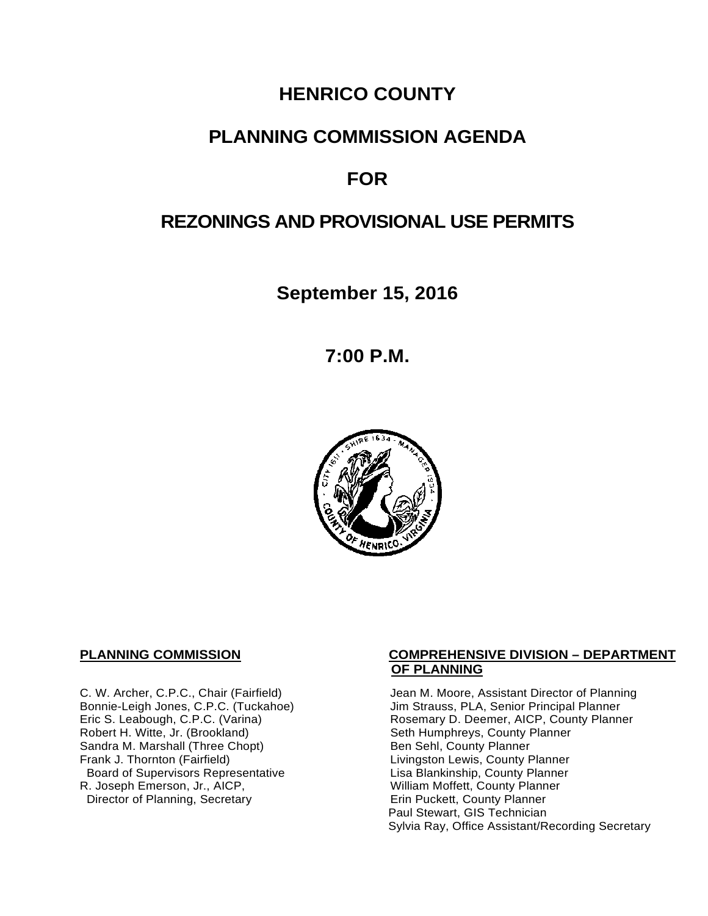# **HENRICO COUNTY**

# **PLANNING COMMISSION AGENDA**

# **FOR**

# **REZONINGS AND PROVISIONAL USE PERMITS**

**September 15, 2016**

**7:00 P.M.**



Sandra M. Marshall (Three Chopt)<br>Frank J. Thornton (Fairfield) Board of Supervisors Representative and Lisa Blankinship, County Planne<br>L. Joseph Emerson, Jr., AICP, And Lisa Blankinship, County Planner R. Joseph Emerson, Jr., AICP, <br>
Director of Planning, Secretary 
William Moffett, County Planner Director of Planning, Secretary

### **PLANNING COMMISSION COMPREHENSIVE DIVISION – DEPARTMENT OF PLANNING**

C. W. Archer, C.P.C., Chair (Fairfield) Jean M. Moore, Assistant Director of Planning<br>Bonnie-Leigh Jones, C.P.C. (Tuckahoe) Jim Strauss, PLA, Senior Principal Planner Bonnie-Leigh Jones, C.P.C. (Tuckahoe) Jim Strauss, PLA, Senior Principal Planner<br>Eric S. Leabough, C.P.C. (Varina) Rosemary D. Deemer, AICP, County Planne Eric S. Leabough, C.P.C. (Varina) The Rosemary D. Deemer, AICP, County Planner<br>Robert H. Witte, Jr. (Brookland) The Seth Humphreys, County Planner Seth Humphreys, County Planner<br>Ben Sehl, County Planner Livingston Lewis, County Planner<br>Lisa Blankinship, County Planner Paul Stewart, GIS Technician Sylvia Ray, Office Assistant/Recording Secretary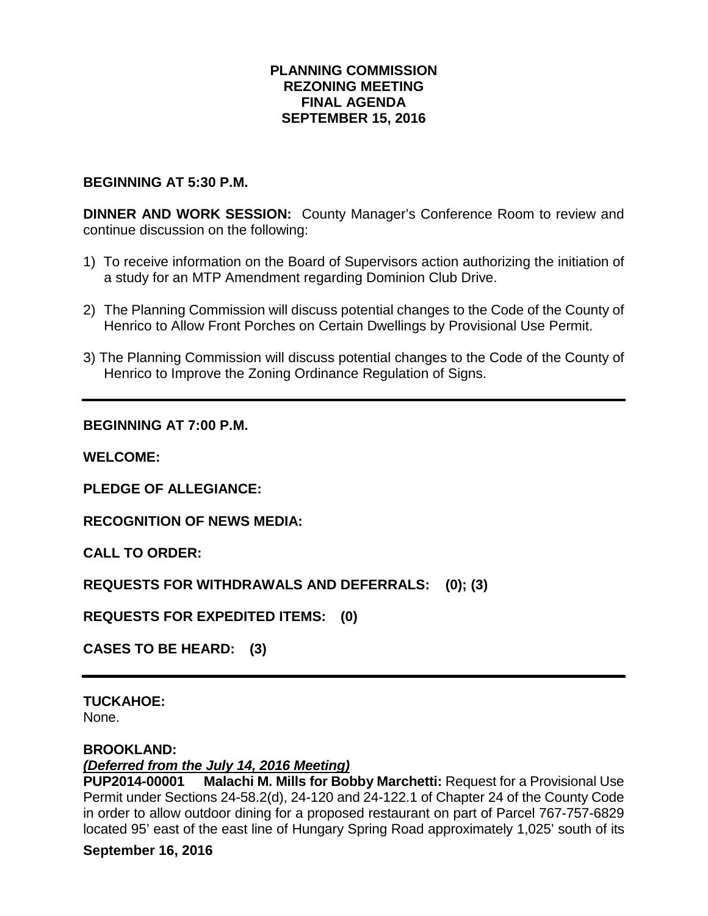## **PLANNING COMMISSION REZONING MEETING FINAL AGENDA SEPTEMBER 15, 2016**

### **BEGINNING AT 5:30 P.M.**

**DINNER AND WORK SESSION:** County Manager's Conference Room to review and continue discussion on the following:

- 1) To receive information on the Board of Supervisors action authorizing the initiation of a study for an MTP Amendment regarding Dominion Club Drive.
- 2) The Planning Commission will discuss potential changes to the Code of the County of Henrico to Allow Front Porches on Certain Dwellings by Provisional Use Permit.
- 3) The Planning Commission will discuss potential changes to the Code of the County of Henrico to Improve the Zoning Ordinance Regulation of Signs.

### **BEGINNING AT 7:00 P.M.**

**WELCOME:**

**PLEDGE OF ALLEGIANCE:**

**RECOGNITION OF NEWS MEDIA:**

**CALL TO ORDER:**

**REQUESTS FOR WITHDRAWALS AND DEFERRALS: (0); (3)**

**REQUESTS FOR EXPEDITED ITEMS: (0)**

**CASES TO BE HEARD: (3)**

### **TUCKAHOE:**

None.

### **BROOKLAND:**

### *(Deferred from the July 14, 2016 Meeting)*

**PUP2014-00001 Malachi M. Mills for Bobby Marchetti:** Request for a Provisional Use Permit under Sections 24-58.2(d), 24-120 and 24-122.1 of Chapter 24 of the County Code in order to allow outdoor dining for a proposed restaurant on part of Parcel 767-757-6829 located 95' east of the east line of Hungary Spring Road approximately 1,025' south of its

### **September 16, 2016**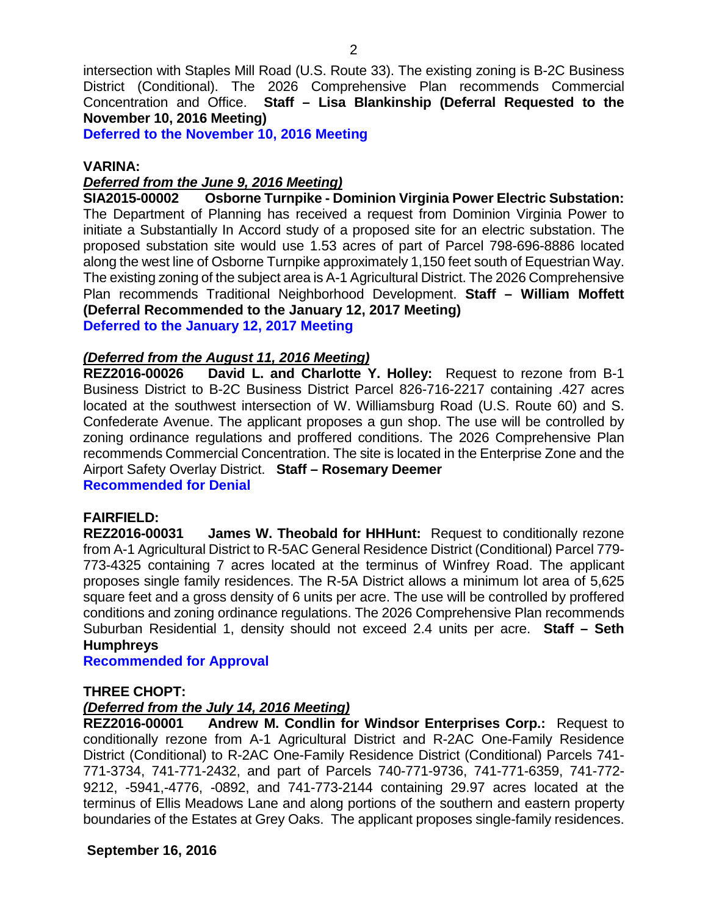intersection with Staples Mill Road (U.S. Route 33). The existing zoning is B-2C Business District (Conditional). The 2026 Comprehensive Plan recommends Commercial Concentration and Office. **Staff – Lisa Blankinship (Deferral Requested to the November 10, 2016 Meeting)** 

**Deferred to the November 10, 2016 Meeting**

#### **VARINA:**

#### *Deferred from the June 9, 2016 Meeting)*

**SIA2015-00002 Osborne Turnpike - Dominion Virginia Power Electric Substation:** The Department of Planning has received a request from Dominion Virginia Power to initiate a Substantially In Accord study of a proposed site for an electric substation. The proposed substation site would use 1.53 acres of part of Parcel 798-696-8886 located along the west line of Osborne Turnpike approximately 1,150 feet south of Equestrian Way. The existing zoning of the subject area is A-1 Agricultural District. The 2026 Comprehensive Plan recommends Traditional Neighborhood Development. **Staff – William Moffett (Deferral Recommended to the January 12, 2017 Meeting) Deferred to the January 12, 2017 Meeting**

### *(Deferred from the August 11, 2016 Meeting)*

**REZ2016-00026 David L. and Charlotte Y. Holley:** Request to rezone from B-1 Business District to B-2C Business District Parcel 826-716-2217 containing .427 acres located at the southwest intersection of W. Williamsburg Road (U.S. Route 60) and S. Confederate Avenue. The applicant proposes a gun shop. The use will be controlled by zoning ordinance regulations and proffered conditions. The 2026 Comprehensive Plan recommends Commercial Concentration. The site is located in the Enterprise Zone and the Airport Safety Overlay District. **Staff – Rosemary Deemer**

**Recommended for Denial**

**FAIRFIELD: James W. Theobald for HHHunt:** Request to conditionally rezone from A-1 Agricultural District to R-5AC General Residence District (Conditional) Parcel 779- 773-4325 containing 7 acres located at the terminus of Winfrey Road. The applicant proposes single family residences. The R-5A District allows a minimum lot area of 5,625 square feet and a gross density of 6 units per acre. The use will be controlled by proffered conditions and zoning ordinance regulations. The 2026 Comprehensive Plan recommends Suburban Residential 1, density should not exceed 2.4 units per acre. **Staff – Seth Humphreys**

**Recommended for Approval**

#### **THREE CHOPT:**

### *(Deferred from the July 14, 2016 Meeting)*

**REZ2016-00001 Andrew M. Condlin for Windsor Enterprises Corp.:** Request to conditionally rezone from A-1 Agricultural District and R-2AC One-Family Residence District (Conditional) to R-2AC One-Family Residence District (Conditional) Parcels 741- 771-3734, 741-771-2432, and part of Parcels 740-771-9736, 741-771-6359, 741-772- 9212, -5941,-4776, -0892, and 741-773-2144 containing 29.97 acres located at the terminus of Ellis Meadows Lane and along portions of the southern and eastern property boundaries of the Estates at Grey Oaks. The applicant proposes single-family residences.

### **September 16, 2016**